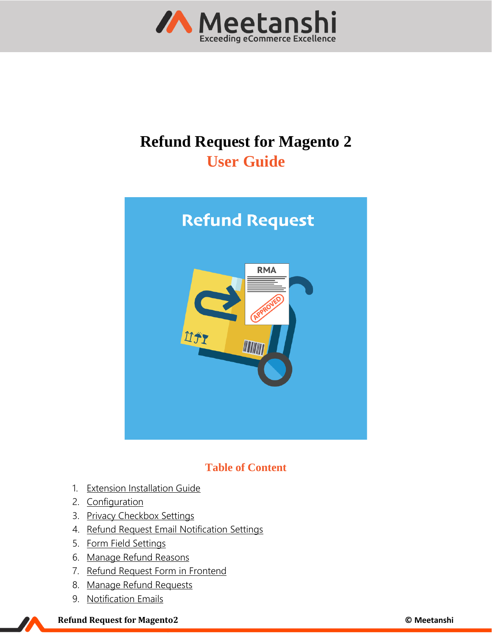

# **Refund Request for Magento 2 User Guide**



# **Table of Content**

- 1. [Extension Installation Guide](#page-1-0)
- 2. [Configuration](#page-1-1)
- 3. [Privacy Checkbox Settings](#page-2-0)
- 4. [Refund Request Email Notification Settings](#page-3-0)
- 5. [Form Field Settings](#page-4-0)
- 6. [Manage Refund Reasons](#page-4-1)
- 7. [Refund Request](#page-5-0) Form in Frontend
- 8. [Manage Refund Requests](#page-6-0)
- 9. Notification Emails

#### **Refund Request for Magento2 © Meetanshi**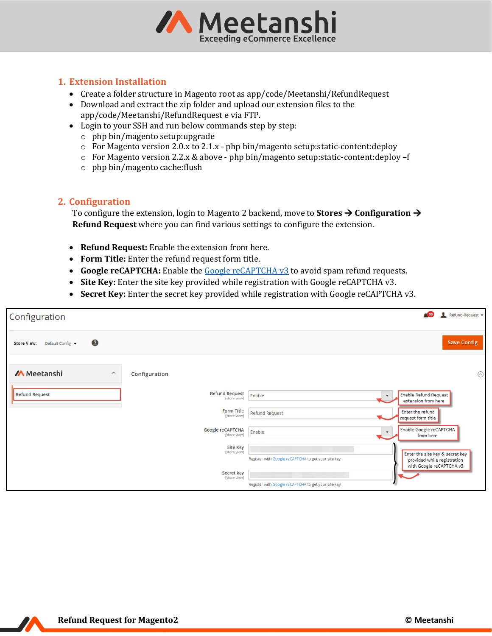

# <span id="page-1-0"></span>**1. Extension Installation**

- Create a folder structure in Magento root as app/code/Meetanshi/RefundRequest
- Download and extract the zip folder and upload our extension files to the app/code/Meetanshi/RefundRequest e via FTP.
- Login to your SSH and run below commands step by step:
	- o php bin/magento setup:upgrade
	- $\circ$  For Magento version 2.0.x to 2.1.x php bin/magento setup: static-content: deploy
	- o For Magento version 2.2.x & above php bin/magento setup:static-content:deploy –f
	- o php bin/magento cache:flush

#### <span id="page-1-1"></span>**2. Configuration**

To configure the extension, login to Magento 2 backend, move to **Stores** → **Configuration** → **Refund Request** where you can find various settings to configure the extension.

- **Refund Request:** Enable the extension from here.
- **Form Title:** Enter the refund request form title.
- Google reCAPTCHA: Enable th[e Google reCAPTCHA](https://www.google.com/recaptcha/intro/v3.html) v3 to avoid spam refund requests.
- **Site Key:** Enter the site key provided while registration with Google reCAPTCHA v3.
- **Secret Key:** Enter the secret key provided while registration with Google reCAPTCHA v3.

| Configuration                                  |                                       |                                                      | Refund-Request -<br>$\triangle$ 10                             |
|------------------------------------------------|---------------------------------------|------------------------------------------------------|----------------------------------------------------------------|
| 3<br><b>Store View:</b><br>Default Config v    |                                       |                                                      | <b>Save Config</b>                                             |
| <b>/A</b> Meetanshi<br>$\widehat{\phantom{a}}$ | Configuration                         |                                                      | $\odot$                                                        |
| <b>Refund Request</b>                          | <b>Refund Request</b><br>[store view] | Enable<br>$\mathbf{v}$                               | Enable Refund Request<br>extension from here                   |
|                                                | <b>Form Title</b><br>[store view]     | <b>Refund Request</b>                                | Enter the refund<br>request form title                         |
|                                                | Google reCAPTCHA<br>[store view]      | Enable<br>$\mathbf{v}$                               | Enable Google reCAPTCHA<br>from here                           |
|                                                | <b>Site Key</b><br>[store view]       | Register with Google reCAPTCHA to get your site key. | Enter the site key & secret key<br>provided while registration |
|                                                | Secret key<br>[store view]            | Register with Google reCAPTCHA to get your site key. | with Google reCAPTCHA v3                                       |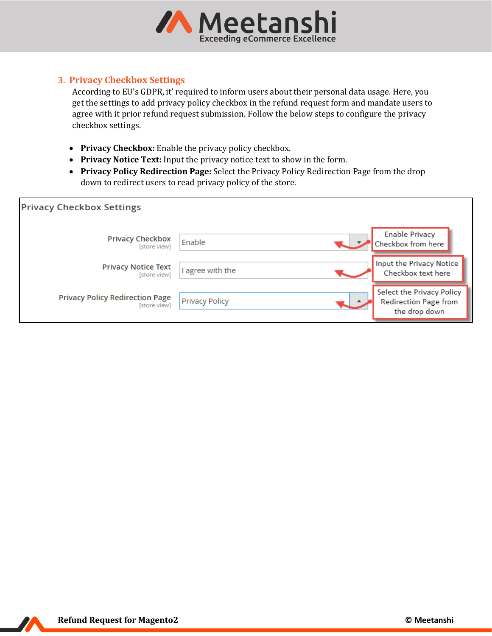

# <span id="page-2-0"></span>**3. Privacy Checkbox Settings**

According to EU's GDPR, it' required to inform users about their personal data usage. Here, you get the settings to add privacy policy checkbox in the refund request form and mandate users to agree with it prior refund request submission. Follow the below steps to configure the privacy checkbox settings.

- **Privacy Checkbox:** Enable the privacy policy checkbox.
- **Privacy Notice Text:** Input the privacy notice text to show in the form.
- **Privacy Policy Redirection Page:** Select the Privacy Policy Redirection Page from the drop down to redirect users to read privacy policy of the store.

| <b>Privacy Checkbox Settings</b>                       |                       |                                                                     |
|--------------------------------------------------------|-----------------------|---------------------------------------------------------------------|
| <b>Privacy Checkbox</b><br>[store view]                | Enable                | Enable Privacy<br>Checkbox from here                                |
| <b>Privacy Notice Text</b><br>[store view]             | I agree with the      | Input the Privacy Notice<br>Checkbox text here                      |
| <b>Privacy Policy Redirection Page</b><br>[store view] | <b>Privacy Policy</b> | Select the Privacy Policy<br>Redirection Page from<br>the drop down |

77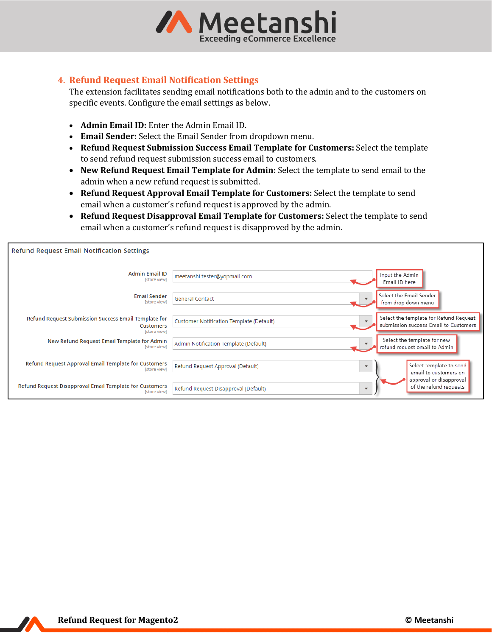

#### <span id="page-3-0"></span>**4. Refund Request Email Notification Settings**

The extension facilitates sending email notifications both to the admin and to the customers on specific events. Configure the email settings as below.

- **Admin Email ID:** Enter the Admin Email ID.
- **Email Sender:** Select the Email Sender from dropdown menu.
- **Refund Request Submission Success Email Template for Customers:** Select the template to send refund request submission success email to customers.
- **New Refund Request Email Template for Admin:** Select the template to send email to the admin when a new refund request is submitted.
- **Refund Request Approval Email Template for Customers:** Select the template to send email when a customer's refund request is approved by the admin.
- **Refund Request Disapproval Email Template for Customers:** Select the template to send email when a customer's refund request is disapproved by the admin.

| <b>Refund Request Email Notification Settings</b>                                        |                                          |                         |                                                                                 |
|------------------------------------------------------------------------------------------|------------------------------------------|-------------------------|---------------------------------------------------------------------------------|
| <b>Admin Email ID</b><br>[store view]                                                    | meetanshi.tester@yopmail.com             |                         | Input the Admin<br>Email ID here                                                |
| <b>Email Sender</b><br>[store view]                                                      | <b>General Contact</b>                   | $\mathbf{v}$            | Select the Email Sender<br>from drop down menu                                  |
| Refund Request Submission Success Email Template for<br><b>Customers</b><br>[store view] | Customer Notification Template (Default) |                         | Select the template for Refund Request<br>submission success Email to Customers |
| New Refund Request Email Template for Admin<br>[store view]                              | Admin Notification Template (Default)    |                         | Select the template for new<br>refund request email to Admin                    |
| Refund Request Approval Email Template for Customers<br><b>Istore view1</b>              | Refund Request Approval (Default)        | $\overline{\mathbf{v}}$ | Select template to send<br>email to customers on                                |
| Refund Request Disapproval Email Template for Customers<br>[store view]                  | Refund Request Disapproval (Default)     | $\overline{\mathbf{v}}$ | approval or disapproval<br>of the refund requests                               |

77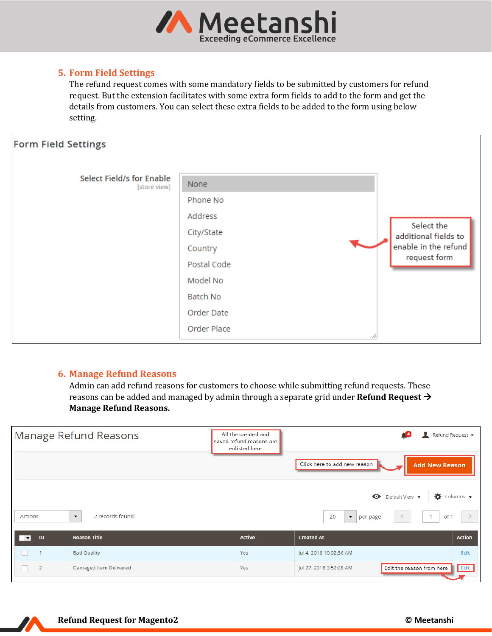

# <span id="page-4-0"></span>**5. Form Field Settings**

The refund request comes with some mandatory fields to be submitted by customers for refund request. But the extension facilitates with some extra form fields to add to the form and get the details from customers. You can select these extra fields to be added to the form using below setting.

| <b>Form Field Settings</b>                       |                                                                                                           |                                                                            |
|--------------------------------------------------|-----------------------------------------------------------------------------------------------------------|----------------------------------------------------------------------------|
| <b>Select Field/s for Enable</b><br>[store view] | None<br>Phone No<br>Address<br>City/State<br>Country<br>Postal Code<br>Model No<br>Batch No<br>Order Date | Select the<br>additional fields to<br>enable in the refund<br>request form |
|                                                  | Order Place                                                                                               |                                                                            |

# <span id="page-4-1"></span>**6. Manage Refund Reasons**

Admin can add refund reasons for customers to choose while submitting refund requests. These reasons can be added and managed by admin through a separate grid under **Refund Request** → **Manage Refund Reasons.**

| Manage Refund Reasons    |                |                                             | All the created and<br>saved refund reasons are<br>enlisted here | Click here to add new reason<br><b>Add New Reason</b>                                                | Refund Request ▼            |
|--------------------------|----------------|---------------------------------------------|------------------------------------------------------------------|------------------------------------------------------------------------------------------------------|-----------------------------|
| Actions                  |                | 2 records found<br>$\overline{\phantom{a}}$ |                                                                  | $\bullet$ Default View $\bullet$<br>of 1<br>20<br>$\blacktriangledown$<br>$\overline{1}$<br>per page | $\bullet$ Columns $\bullet$ |
| $\overline{\phantom{a}}$ | ID             | <b>Reason Title</b>                         | <b>Active</b>                                                    | <b>Created At</b>                                                                                    | <b>Action</b>               |
|                          |                | <b>Bad Quality</b>                          | Yes                                                              | Jul 4, 2018 10:02:36 AM                                                                              | Edit                        |
|                          | $\overline{2}$ | Damaged Item Delivered                      | Yes                                                              | Edit the reason from here<br>Jul 27, 2018 3:52:28 AM                                                 | Edit                        |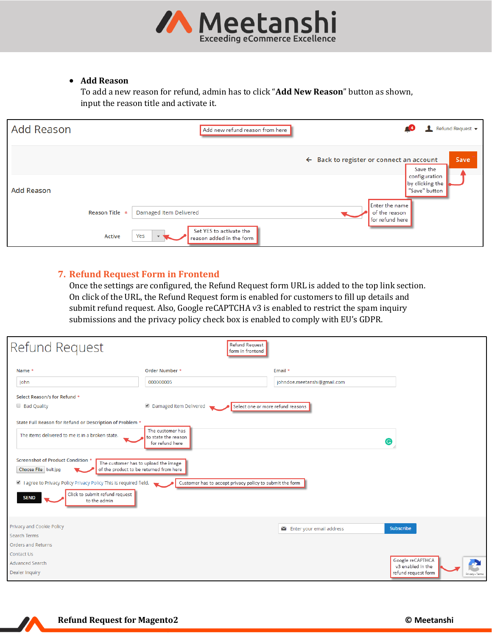

#### • **Add Reason**

To add a new reason for refund, admin has to click "**Add New Reason**" button as shown, input the reason title and activate it.

| <b>Add Reason</b> | Add new refund reason from here                            | Refund Request ▼                                                                                |
|-------------------|------------------------------------------------------------|-------------------------------------------------------------------------------------------------|
|                   |                                                            | <b>Save</b><br>$\leftarrow$ Back to register or connect an account<br>Save the<br>configuration |
| <b>Add Reason</b> |                                                            | by clicking the<br>"Save" button                                                                |
| Reason Title *    | Damaged Item Delivered                                     | Enter the name<br>of the reason<br>for refund here                                              |
| Active            | Set YES to activate the<br>Yes<br>reason added in the form |                                                                                                 |

# <span id="page-5-0"></span>**7. Refund Request Form in Frontend**

Once the settings are configured, the Refund Request form URL is added to the top link section. On click of the URL, the Refund Request form is enabled for customers to fill up details and submit refund request. Also, Google reCAPTCHA v3 is enabled to restrict the spam inquiry submissions and the privacy policy check box is enabled to comply with EU's GDPR.

| Refund Request                                                                                                                                                                                                                                                                                                                                                                                   | <b>Refund Request</b><br>form in frontend                                                                              |                                                |                                        |
|--------------------------------------------------------------------------------------------------------------------------------------------------------------------------------------------------------------------------------------------------------------------------------------------------------------------------------------------------------------------------------------------------|------------------------------------------------------------------------------------------------------------------------|------------------------------------------------|----------------------------------------|
| Name *                                                                                                                                                                                                                                                                                                                                                                                           | Order Number *                                                                                                         | Email *                                        |                                        |
| John                                                                                                                                                                                                                                                                                                                                                                                             | 000000005                                                                                                              | johndoe.meetanshi@gmail.com                    |                                        |
| Select Reason/s for Refund *                                                                                                                                                                                                                                                                                                                                                                     |                                                                                                                        |                                                |                                        |
| <b>Bad Quality</b>                                                                                                                                                                                                                                                                                                                                                                               | Damaged Item Delivered                                                                                                 | Select one or more refund reasons              |                                        |
| State Full Reason for Refund or Description of Problem *<br>The items delivered to me is in a broken state.<br>Screenshot of Product Condition *<br>The customer has to upload the image<br>of the product to be returned from here<br>Choose File belt.jpg<br>I agree to Privacy Policy Privacy Policy This is required field.<br>Click to submit refund request<br><b>SEND</b><br>to the admin | The customer has<br>to state the reason<br>for refund here<br>Customer has to accept privacy policy to submit the form |                                                | G                                      |
| Privacy and Cookie Policy<br>Search Terms                                                                                                                                                                                                                                                                                                                                                        |                                                                                                                        | $\blacktriangleright$ Enter your email address | Subscribe                              |
| <b>Orders and Returns</b>                                                                                                                                                                                                                                                                                                                                                                        |                                                                                                                        |                                                |                                        |
| Contact Us                                                                                                                                                                                                                                                                                                                                                                                       |                                                                                                                        |                                                | Google reCAPTHCA                       |
| <b>Advanced Search</b>                                                                                                                                                                                                                                                                                                                                                                           |                                                                                                                        |                                                | Æ<br>v3 enabled in the                 |
| Dealer Inquiry                                                                                                                                                                                                                                                                                                                                                                                   |                                                                                                                        |                                                | refund request form<br>Privacy - Terms |

Z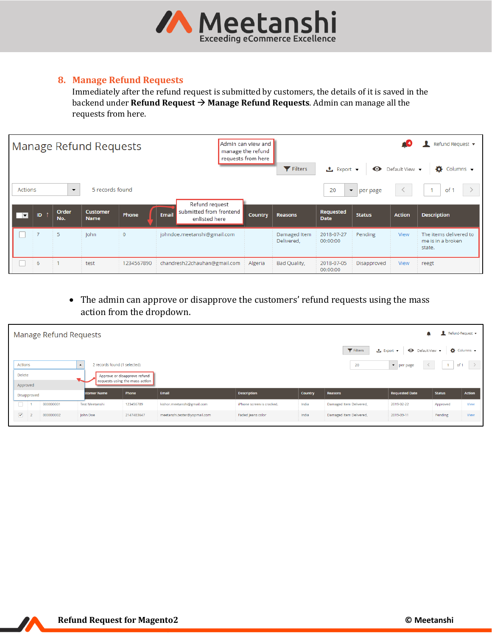

# <span id="page-6-0"></span>**8. Manage Refund Requests**

Immediately after the refund request is submitted by customers, the details of it is saved in the backend under **Refund Request** → **Manage Refund Requests**. Admin can manage all the requests from here.

|                          |                |                          | Manage Refund Requests         |                |                             |                                                            | Admin can view and<br>manage the refund<br>requests from here |                            |                          |                                  |                                   | Refund Request ▼                                      |
|--------------------------|----------------|--------------------------|--------------------------------|----------------|-----------------------------|------------------------------------------------------------|---------------------------------------------------------------|----------------------------|--------------------------|----------------------------------|-----------------------------------|-------------------------------------------------------|
|                          |                |                          |                                |                |                             |                                                            |                                                               | Filters                    | <b>上</b> Export ▼        | $\bullet$                        | Default View $\blacktriangledown$ | Ö.<br>Columns v                                       |
| Actions                  |                | $\overline{\phantom{a}}$ | 5 records found                |                |                             |                                                            |                                                               |                            | 20                       | $\blacktriangledown$<br>per page |                                   | of 1                                                  |
| $\overline{\phantom{a}}$ | ID.            | Order<br>No.             | <b>Customer</b><br><b>Name</b> | Phone          | <b>Email</b>                | Refund request<br>submitted from frontend<br>enlisted here | <b>Country</b>                                                | <b>Reasons</b>             | Requested<br><b>Date</b> | <b>Status</b>                    | <b>Action</b>                     | <b>Description</b>                                    |
|                          | $\overline{7}$ | 5                        | <b>John</b>                    | $\overline{0}$ | johndoe.meetanshi@gmail.com |                                                            |                                                               | Damaged Item<br>Delivered, | 2018-07-27<br>00:00:00   | Pending                          | View                              | The items delivered to<br>me is in a broken<br>state. |
|                          | 6              |                          | test                           | 1234567890     |                             | chandresh22chauhan@gmail.com                               | Algeria                                                       | Bad Quality,               | 2018-07-05<br>00:00:00   | Disapproved                      | View                              | reegt                                                 |

<span id="page-6-2"></span><span id="page-6-1"></span>• The admin can approve or disapprove the customers' refund requests using the mass action from the dropdown.

|                      |             | Manage Refund Requests |                                                  |                                                                |                              |                           |                |                         |                                             |               | Refund-Request v            |
|----------------------|-------------|------------------------|--------------------------------------------------|----------------------------------------------------------------|------------------------------|---------------------------|----------------|-------------------------|---------------------------------------------|---------------|-----------------------------|
|                      |             |                        |                                                  |                                                                |                              |                           |                | Filters                 | ← Default View ▼<br><b>≛</b> Export ▼       |               | $\bullet$ Columns $\bullet$ |
| <b>Actions</b>       |             |                        | 2 records found (1 selected)<br>$\blacktriangle$ |                                                                |                              |                           |                | 20                      | $\blacktriangleright$ per page<br>$\langle$ | $-1$          | of 1 $\rightarrow$          |
| Delete               |             |                        |                                                  | Approve or disapprove refund<br>requests using the mass action |                              |                           |                |                         |                                             |               |                             |
| Approved             |             |                        |                                                  |                                                                |                              |                           |                |                         |                                             |               |                             |
|                      | Disapproved |                        | stomer Name                                      | Phone                                                          | Email                        | <b>Description</b>        | <b>Country</b> | Reasons                 | <b>Requested Date</b>                       | <b>Status</b> | <b>Action</b>               |
| $\Box$ 1             |             | 000000001              | <b>Test Meetanshi</b>                            | 123456789                                                      | kishor.meetanshi@gmail.com   | iPhone screen is cracked. | India          | Damaged Item Delivered, | 2019-02-22                                  | Approved      | View                        |
| $\blacktriangledown$ |             | 000000002              | John Doe                                         | 2147483647                                                     | meetanshi.tester@yopmail.com | Faded Jeans color         | India          | Damaged Item Delivered, | 2019-09-11                                  | Pending       | View                        |

Z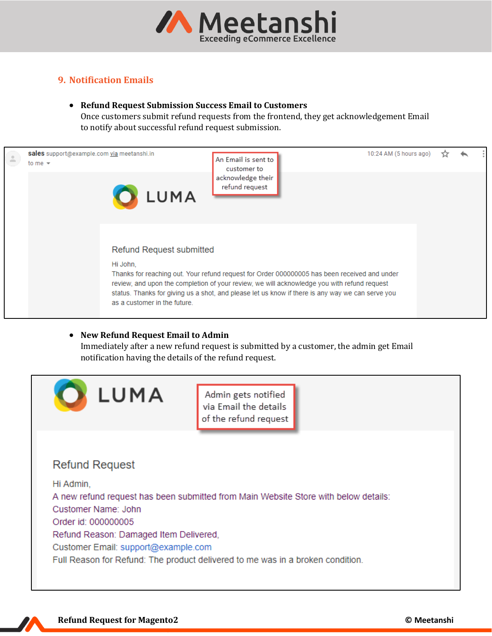

# **9. Notification Emails**

#### • **Refund Request Submission Success Email to Customers**

Once customers submit refund requests from the frontend, they get acknowledgement Email to notify about successful refund request submission.



#### • **New Refund Request Email to Admin**

Immediately after a new refund request is submitted by a customer, the admin get Email notification having the details of the refund request.